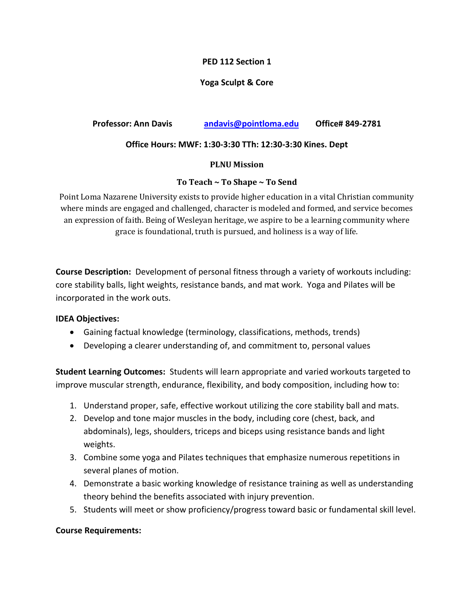## **PED 112 Section 1**

# **Yoga Sculpt & Core**

# **Professor: Ann Davis [andavis@pointloma.edu](mailto:andavis@pointloma.edu) Office# 849-2781**

## **Office Hours: MWF: 1:30-3:30 TTh: 12:30-3:30 Kines. Dept**

#### **PLNU Mission**

### **To Teach ~ To Shape ~ To Send**

Point Loma Nazarene University exists to provide higher education in a vital Christian community where minds are engaged and challenged, character is modeled and formed, and service becomes an expression of faith. Being of Wesleyan heritage, we aspire to be a learning community where grace is foundational, truth is pursued, and holiness is a way of life.

**Course Description:** Development of personal fitness through a variety of workouts including: core stability balls, light weights, resistance bands, and mat work. Yoga and Pilates will be incorporated in the work outs.

### **IDEA Objectives:**

- Gaining factual knowledge (terminology, classifications, methods, trends)
- Developing a clearer understanding of, and commitment to, personal values

**Student Learning Outcomes:** Students will learn appropriate and varied workouts targeted to improve muscular strength, endurance, flexibility, and body composition, including how to:

- 1. Understand proper, safe, effective workout utilizing the core stability ball and mats.
- 2. Develop and tone major muscles in the body, including core (chest, back, and abdominals), legs, shoulders, triceps and biceps using resistance bands and light weights.
- 3. Combine some yoga and Pilates techniques that emphasize numerous repetitions in several planes of motion.
- 4. Demonstrate a basic working knowledge of resistance training as well as understanding theory behind the benefits associated with injury prevention.
- 5. Students will meet or show proficiency/progress toward basic or fundamental skill level.

### **Course Requirements:**